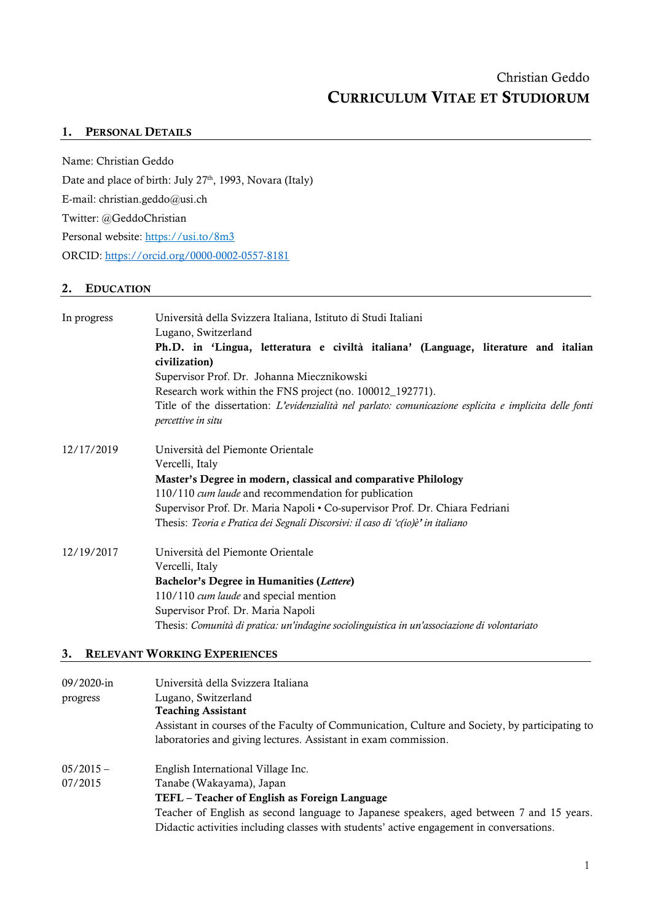## 1. PERSONAL DETAILS

Name: Christian Geddo Date and place of birth: July 27<sup>th</sup>, 1993, Novara (Italy) E-mail: christian.geddo@usi.ch Twitter: @GeddoChristian Personal website:<https://usi.to/8m3> ORCID:<https://orcid.org/0000-0002-0557-8181>

## 2. EDUCATION

| Ph.D. in 'Lingua, letteratura e civiltà italiana' (Language, literature and italian<br>civilization)<br>Supervisor Prof. Dr. Johanna Miecznikowski<br>Research work within the FNS project (no. 100012_192771).<br>Title of the dissertation: L'evidenzialità nel parlato: comunicazione esplicita e implicita delle fonti<br>percettive in situ<br>12/17/2019<br>Università del Piemonte Orientale<br>Vercelli, Italy<br>Master's Degree in modern, classical and comparative Philology<br>110/110 cum laude and recommendation for publication<br>Supervisor Prof. Dr. Maria Napoli • Co-supervisor Prof. Dr. Chiara Fedriani<br>Thesis: Teoria e Pratica dei Segnali Discorsivi: il caso di 'c(io)è' in italiano<br>12/19/2017<br>Università del Piemonte Orientale<br>Vercelli, Italy<br>Bachelor's Degree in Humanities (Lettere)<br>110/110 cum laude and special mention<br>Supervisor Prof. Dr. Maria Napoli<br>Thesis: Comunità di pratica: un'indagine sociolinguistica in un'associazione di volontariato | In progress | Università della Svizzera Italiana, Istituto di Studi Italiani<br>Lugano, Switzerland |  |  |
|----------------------------------------------------------------------------------------------------------------------------------------------------------------------------------------------------------------------------------------------------------------------------------------------------------------------------------------------------------------------------------------------------------------------------------------------------------------------------------------------------------------------------------------------------------------------------------------------------------------------------------------------------------------------------------------------------------------------------------------------------------------------------------------------------------------------------------------------------------------------------------------------------------------------------------------------------------------------------------------------------------------------|-------------|---------------------------------------------------------------------------------------|--|--|
|                                                                                                                                                                                                                                                                                                                                                                                                                                                                                                                                                                                                                                                                                                                                                                                                                                                                                                                                                                                                                      |             |                                                                                       |  |  |
|                                                                                                                                                                                                                                                                                                                                                                                                                                                                                                                                                                                                                                                                                                                                                                                                                                                                                                                                                                                                                      |             |                                                                                       |  |  |
|                                                                                                                                                                                                                                                                                                                                                                                                                                                                                                                                                                                                                                                                                                                                                                                                                                                                                                                                                                                                                      |             |                                                                                       |  |  |
|                                                                                                                                                                                                                                                                                                                                                                                                                                                                                                                                                                                                                                                                                                                                                                                                                                                                                                                                                                                                                      |             |                                                                                       |  |  |
|                                                                                                                                                                                                                                                                                                                                                                                                                                                                                                                                                                                                                                                                                                                                                                                                                                                                                                                                                                                                                      |             |                                                                                       |  |  |
|                                                                                                                                                                                                                                                                                                                                                                                                                                                                                                                                                                                                                                                                                                                                                                                                                                                                                                                                                                                                                      |             |                                                                                       |  |  |
|                                                                                                                                                                                                                                                                                                                                                                                                                                                                                                                                                                                                                                                                                                                                                                                                                                                                                                                                                                                                                      |             |                                                                                       |  |  |
|                                                                                                                                                                                                                                                                                                                                                                                                                                                                                                                                                                                                                                                                                                                                                                                                                                                                                                                                                                                                                      |             |                                                                                       |  |  |
|                                                                                                                                                                                                                                                                                                                                                                                                                                                                                                                                                                                                                                                                                                                                                                                                                                                                                                                                                                                                                      |             |                                                                                       |  |  |
|                                                                                                                                                                                                                                                                                                                                                                                                                                                                                                                                                                                                                                                                                                                                                                                                                                                                                                                                                                                                                      |             |                                                                                       |  |  |
|                                                                                                                                                                                                                                                                                                                                                                                                                                                                                                                                                                                                                                                                                                                                                                                                                                                                                                                                                                                                                      |             |                                                                                       |  |  |
|                                                                                                                                                                                                                                                                                                                                                                                                                                                                                                                                                                                                                                                                                                                                                                                                                                                                                                                                                                                                                      |             |                                                                                       |  |  |
|                                                                                                                                                                                                                                                                                                                                                                                                                                                                                                                                                                                                                                                                                                                                                                                                                                                                                                                                                                                                                      |             |                                                                                       |  |  |
|                                                                                                                                                                                                                                                                                                                                                                                                                                                                                                                                                                                                                                                                                                                                                                                                                                                                                                                                                                                                                      |             |                                                                                       |  |  |
|                                                                                                                                                                                                                                                                                                                                                                                                                                                                                                                                                                                                                                                                                                                                                                                                                                                                                                                                                                                                                      |             |                                                                                       |  |  |
|                                                                                                                                                                                                                                                                                                                                                                                                                                                                                                                                                                                                                                                                                                                                                                                                                                                                                                                                                                                                                      |             |                                                                                       |  |  |
|                                                                                                                                                                                                                                                                                                                                                                                                                                                                                                                                                                                                                                                                                                                                                                                                                                                                                                                                                                                                                      |             |                                                                                       |  |  |
| 3.<br><b>RELEVANT WORKING EXPERIENCES</b>                                                                                                                                                                                                                                                                                                                                                                                                                                                                                                                                                                                                                                                                                                                                                                                                                                                                                                                                                                            |             |                                                                                       |  |  |

| 09/2020-in  | Università della Svizzera Italiana                                                             |  |
|-------------|------------------------------------------------------------------------------------------------|--|
| progress    | Lugano, Switzerland                                                                            |  |
|             | <b>Teaching Assistant</b>                                                                      |  |
|             | Assistant in courses of the Faculty of Communication, Culture and Society, by participating to |  |
|             | laboratories and giving lectures. Assistant in exam commission.                                |  |
| $05/2015 -$ | English International Village Inc.                                                             |  |
| 07/2015     | Tanabe (Wakayama), Japan                                                                       |  |
|             | TEFL – Teacher of English as Foreign Language                                                  |  |
|             | Teacher of English as second language to Japanese speakers, aged between 7 and 15 years.       |  |
|             | Didactic activities including classes with students' active engagement in conversations.       |  |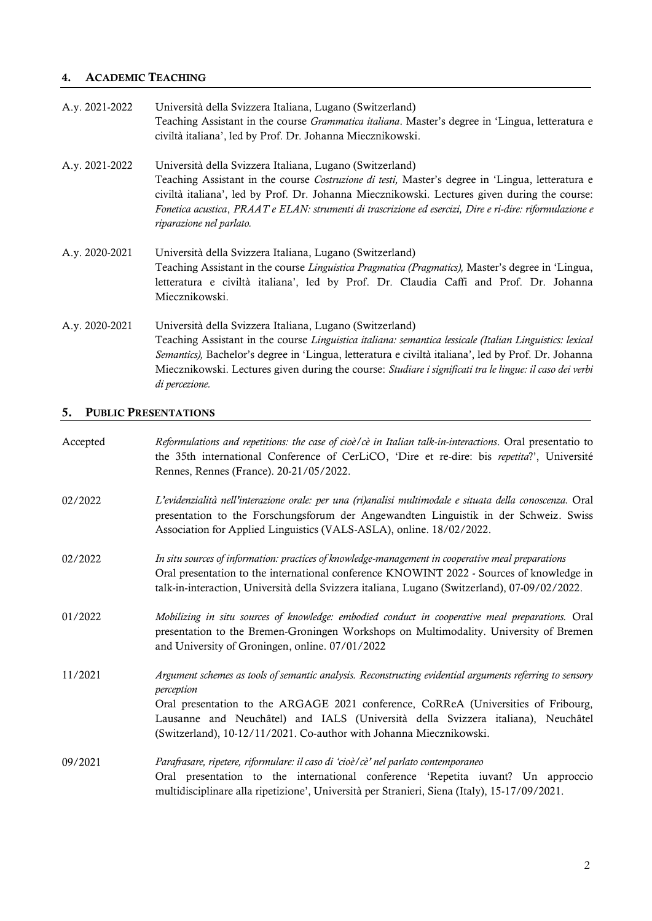# 4. ACADEMIC TEACHING

| A.y. 2021-2022 | Università della Svizzera Italiana, Lugano (Switzerland)<br>Teaching Assistant in the course <i>Grammatica italiana</i> . Master's degree in 'Lingua, letteratura e<br>civiltà italiana', led by Prof. Dr. Johanna Miecznikowski.                                                                                                                                                                         |
|----------------|-----------------------------------------------------------------------------------------------------------------------------------------------------------------------------------------------------------------------------------------------------------------------------------------------------------------------------------------------------------------------------------------------------------|
| A.y. 2021-2022 | Università della Svizzera Italiana, Lugano (Switzerland)<br>Teaching Assistant in the course Costruzione di testi, Master's degree in 'Lingua, letteratura e<br>civiltà italiana', led by Prof. Dr. Johanna Miecznikowski. Lectures given during the course:<br>Fonetica acustica, PRAAT e ELAN: strumenti di trascrizione ed esercizi, Dire e ri-dire: riformulazione e<br>riparazione nel parlato.      |
| A.y. 2020-2021 | Università della Svizzera Italiana, Lugano (Switzerland)<br>Teaching Assistant in the course <i>Linguistica Pragmatica (Pragmatics)</i> , Master's degree in 'Lingua,<br>letteratura e civiltà italiana', led by Prof. Dr. Claudia Caffi and Prof. Dr. Johanna<br>Miecznikowski.                                                                                                                          |
| A.y. 2020-2021 | Università della Svizzera Italiana, Lugano (Switzerland)<br>Teaching Assistant in the course Linguistica italiana: semantica lessicale (Italian Linguistics: lexical<br>Semantics), Bachelor's degree in 'Lingua, letteratura e civiltà italiana', led by Prof. Dr. Johanna<br>Miecznikowski. Lectures given during the course: Studiare i significati tra le lingue: il caso dei verbi<br>di percezione. |

# 5. PUBLIC PRESENTATIONS

| Accepted | Reformulations and repetitions: the case of cioè/cè in Italian talk-in-interactions. Oral presentatio to<br>the 35th international Conference of CerLiCO, 'Dire et re-dire: bis repetita?', Université<br>Rennes, Rennes (France). 20-21/05/2022.                                                                                                                       |
|----------|-------------------------------------------------------------------------------------------------------------------------------------------------------------------------------------------------------------------------------------------------------------------------------------------------------------------------------------------------------------------------|
| 02/2022  | L'evidenzialità nell'interazione orale: per una (ri)analisi multimodale e situata della conoscenza. Oral<br>presentation to the Forschungsforum der Angewandten Linguistik in der Schweiz. Swiss<br>Association for Applied Linguistics (VALS-ASLA), online. 18/02/2022.                                                                                                |
| 02/2022  | In situ sources of information: practices of knowledge-management in cooperative meal preparations<br>Oral presentation to the international conference KNOWINT 2022 - Sources of knowledge in<br>talk-in-interaction, Università della Svizzera italiana, Lugano (Switzerland), 07-09/02/2022.                                                                         |
| 01/2022  | Mobilizing in situ sources of knowledge: embodied conduct in cooperative meal preparations. Oral<br>presentation to the Bremen-Groningen Workshops on Multimodality. University of Bremen<br>and University of Groningen, online. 07/01/2022                                                                                                                            |
| 11/2021  | Argument schemes as tools of semantic analysis. Reconstructing evidential arguments referring to sensory<br>perception<br>Oral presentation to the ARGAGE 2021 conference, CoRReA (Universities of Fribourg,<br>Lausanne and Neuchâtel) and IALS (Università della Svizzera italiana), Neuchâtel<br>(Switzerland), 10-12/11/2021. Co-author with Johanna Miecznikowski. |
| 09/2021  | Parafrasare, ripetere, riformulare: il caso di 'cioè/cè' nel parlato contemporaneo<br>Oral presentation to the international conference 'Repetita iuvant? Un approccio<br>multidisciplinare alla ripetizione', Università per Stranieri, Siena (Italy), 15-17/09/2021.                                                                                                  |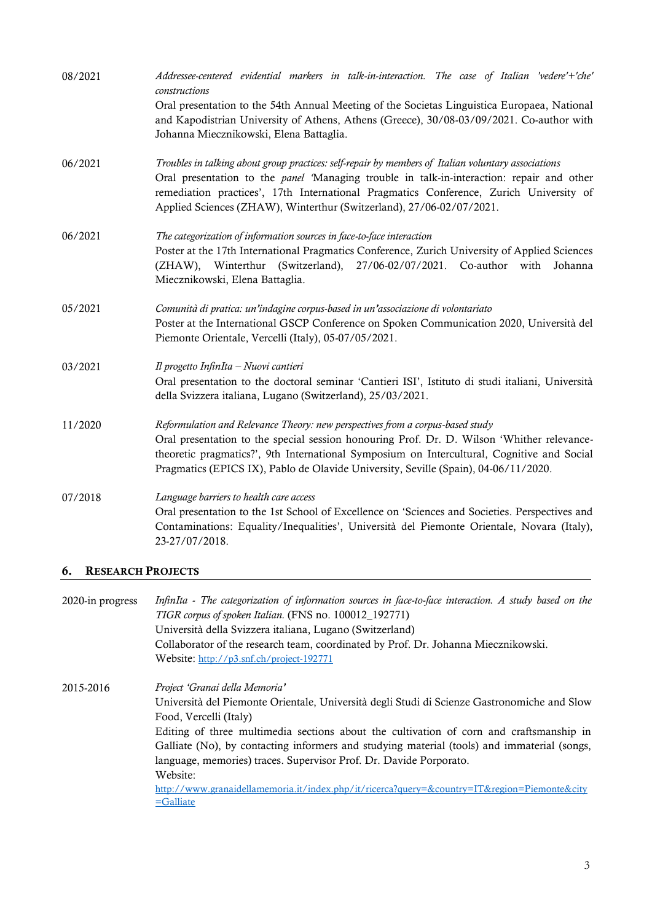| 08/2021 | Addressee-centered evidential markers in talk-in-interaction. The case of Italian 'vedere'+'che'<br>constructions                                                                                                                                                                                                                                                         |
|---------|---------------------------------------------------------------------------------------------------------------------------------------------------------------------------------------------------------------------------------------------------------------------------------------------------------------------------------------------------------------------------|
|         | Oral presentation to the 54th Annual Meeting of the Societas Linguistica Europaea, National<br>and Kapodistrian University of Athens, Athens (Greece), 30/08-03/09/2021. Co-author with<br>Johanna Miecznikowski, Elena Battaglia.                                                                                                                                        |
| 06/2021 | Troubles in talking about group practices: self-repair by members of Italian voluntary associations<br>Oral presentation to the <i>panel</i> 'Managing trouble in talk-in-interaction: repair and other<br>remediation practices', 17th International Pragmatics Conference, Zurich University of<br>Applied Sciences (ZHAW), Winterthur (Switzerland), 27/06-02/07/2021. |
| 06/2021 | The categorization of information sources in face-to-face interaction<br>Poster at the 17th International Pragmatics Conference, Zurich University of Applied Sciences<br>(ZHAW), Winterthur (Switzerland), 27/06-02/07/2021. Co-author with<br>Johanna<br>Miecznikowski, Elena Battaglia.                                                                                |
| 05/2021 | Comunità di pratica: un'indagine corpus-based in un'associazione di volontariato<br>Poster at the International GSCP Conference on Spoken Communication 2020, Università del<br>Piemonte Orientale, Vercelli (Italy), 05-07/05/2021.                                                                                                                                      |
| 03/2021 | Il progetto InfinIta - Nuovi cantieri<br>Oral presentation to the doctoral seminar 'Cantieri ISI', Istituto di studi italiani, Università<br>della Svizzera italiana, Lugano (Switzerland), 25/03/2021.                                                                                                                                                                   |
| 11/2020 | Reformulation and Relevance Theory: new perspectives from a corpus-based study<br>Oral presentation to the special session honouring Prof. Dr. D. Wilson 'Whither relevance-<br>theoretic pragmatics?', 9th International Symposium on Intercultural, Cognitive and Social<br>Pragmatics (EPICS IX), Pablo de Olavide University, Seville (Spain), 04-06/11/2020.         |
| 07/2018 | Language barriers to health care access<br>Oral presentation to the 1st School of Excellence on 'Sciences and Societies. Perspectives and<br>Contaminations: Equality/Inequalities', Università del Piemonte Orientale, Novara (Italy),<br>23-27/07/2018.                                                                                                                 |

## 6. RESEARCH PROJECTS

| 2020-in progress | InfinIta - The categorization of information sources in face-to-face interaction. A study based on the<br>TIGR corpus of spoken Italian. (FNS no. 100012_192771)<br>Università della Svizzera italiana, Lugano (Switzerland) |  |
|------------------|------------------------------------------------------------------------------------------------------------------------------------------------------------------------------------------------------------------------------|--|
|                  |                                                                                                                                                                                                                              |  |
|                  |                                                                                                                                                                                                                              |  |
|                  | Collaborator of the research team, coordinated by Prof. Dr. Johanna Miecznikowski.                                                                                                                                           |  |
|                  | Website: http://p3.snf.ch/project-192771                                                                                                                                                                                     |  |
| 2015-2016        | Project 'Granai della Memoria'                                                                                                                                                                                               |  |
|                  | Università del Piemonte Orientale, Università degli Studi di Scienze Gastronomiche and Slow                                                                                                                                  |  |
|                  | Food, Vercelli (Italy)                                                                                                                                                                                                       |  |
|                  | Editing of three multimedia sections about the cultivation of corn and craftsmanship in                                                                                                                                      |  |
|                  | Galliate (No), by contacting informers and studying material (tools) and immaterial (songs,                                                                                                                                  |  |
|                  | language, memories) traces. Supervisor Prof. Dr. Davide Porporato.                                                                                                                                                           |  |
|                  | Website:                                                                                                                                                                                                                     |  |
|                  | http://www.granaidellamemoria.it/index.php/it/ricerca?query=&country=IT&region=Piemonte&city                                                                                                                                 |  |
|                  | $=$ Galliate                                                                                                                                                                                                                 |  |
|                  |                                                                                                                                                                                                                              |  |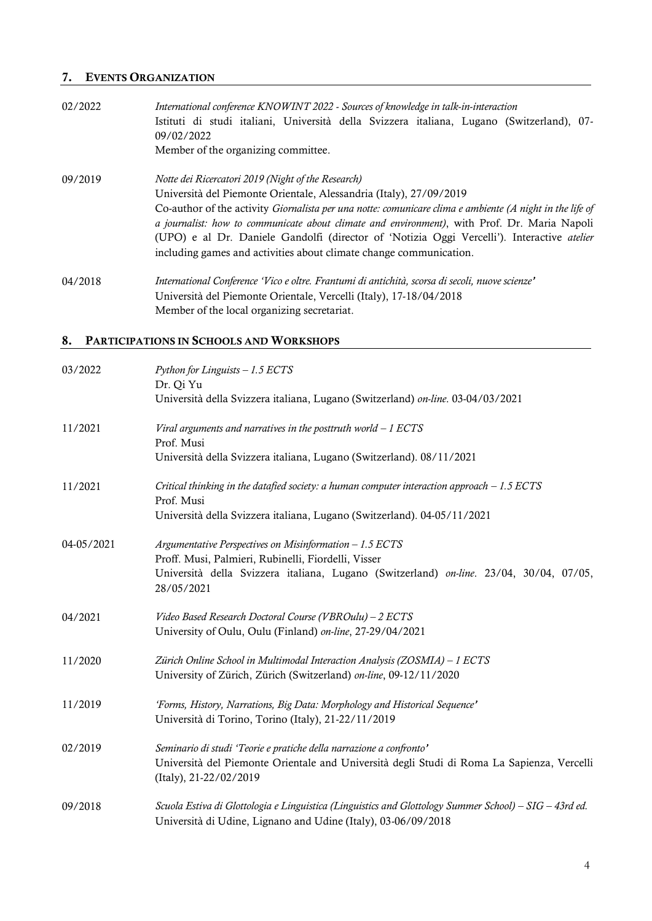# 7. EVENTS ORGANIZATION

| 02/2022 | International conference KNOWINT 2022 - Sources of knowledge in talk-in-interaction                      |  |  |  |  |
|---------|----------------------------------------------------------------------------------------------------------|--|--|--|--|
|         | Istituti di studi italiani, Università della Svizzera italiana, Lugano (Switzerland), 07-                |  |  |  |  |
|         | 09/02/2022                                                                                               |  |  |  |  |
|         | Member of the organizing committee.                                                                      |  |  |  |  |
| 09/2019 | Notte dei Ricercatori 2019 (Night of the Research)                                                       |  |  |  |  |
|         | Università del Piemonte Orientale, Alessandria (Italy), 27/09/2019                                       |  |  |  |  |
|         | Co-author of the activity Giornalista per una notte: comunicare clima e ambiente (A night in the life of |  |  |  |  |
|         | a journalist: how to communicate about climate and environment), with Prof. Dr. Maria Napoli             |  |  |  |  |
|         | (UPO) e al Dr. Daniele Gandolfi (director of 'Notizia Oggi Vercelli'). Interactive atelier               |  |  |  |  |
|         | including games and activities about climate change communication.                                       |  |  |  |  |
| 04/2018 | International Conference 'Vico e oltre. Frantumi di antichità, scorsa di secoli, nuove scienze'          |  |  |  |  |
|         | Università del Piemonte Orientale, Vercelli (Italy), 17-18/04/2018                                       |  |  |  |  |
|         | Member of the local organizing secretariat.                                                              |  |  |  |  |

# 8. PARTICIPATIONS IN SCHOOLS AND WORKSHOPS

| 03/2022    | Python for Linguists - 1.5 ECTS<br>Dr. Qi Yu<br>Università della Svizzera italiana, Lugano (Switzerland) on-line. 03-04/03/2021                                                                                        |
|------------|------------------------------------------------------------------------------------------------------------------------------------------------------------------------------------------------------------------------|
| 11/2021    | Viral arguments and narratives in the posttruth world $-1$ ECTS<br>Prof. Musi<br>Università della Svizzera italiana, Lugano (Switzerland). 08/11/2021                                                                  |
| 11/2021    | Critical thinking in the datafied society: a human computer interaction approach $-1.5$ ECTS<br>Prof. Musi<br>Università della Svizzera italiana, Lugano (Switzerland). 04-05/11/2021                                  |
| 04-05/2021 | Argumentative Perspectives on Misinformation - 1.5 ECTS<br>Proff. Musi, Palmieri, Rubinelli, Fiordelli, Visser<br>Università della Svizzera italiana, Lugano (Switzerland) on-line. 23/04, 30/04, 07/05,<br>28/05/2021 |
| 04/2021    | Video Based Research Doctoral Course (VBROulu) - 2 ECTS<br>University of Oulu, Oulu (Finland) on-line, 27-29/04/2021                                                                                                   |
| 11/2020    | Zürich Online School in Multimodal Interaction Analysis (ZOSMIA) - 1 ECTS<br>University of Zürich, Zürich (Switzerland) on-line, 09-12/11/2020                                                                         |
| 11/2019    | 'Forms, History, Narrations, Big Data: Morphology and Historical Sequence'<br>Università di Torino, Torino (Italy), 21-22/11/2019                                                                                      |
| 02/2019    | Seminario di studi 'Teorie e pratiche della narrazione a confronto'<br>Università del Piemonte Orientale and Università degli Studi di Roma La Sapienza, Vercelli<br>(Italy), 21-22/02/2019                            |
| 09/2018    | Scuola Estiva di Glottologia e Linguistica (Linguistics and Glottology Summer School) – SIG – 43rd ed.<br>Università di Udine, Lignano and Udine (Italy), 03-06/09/2018                                                |